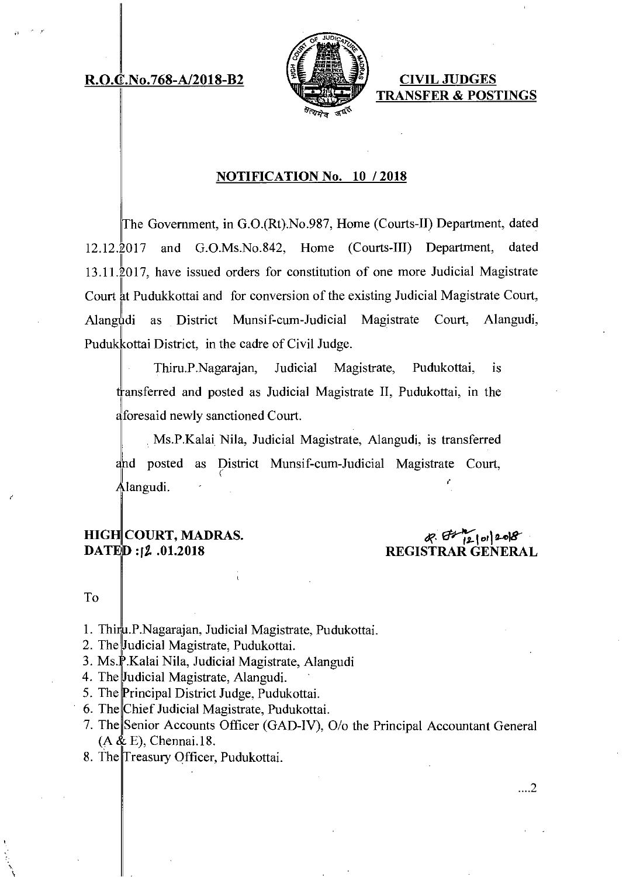## **R.O.C.No.768-A/2018-B2 CIVIL JUDGES**



**TRANSFER & POSTINGS** 

## **NOTIFICATION No. 10 / 2018**

The Government, in G.0.(Rt).No.987, Home (Courts-II) Department, dated 12.12.2017 and G.O.Ms.No.842, Home (Courts-III) Department, dated  $13.11.\overline{2}017$ , have issued orders for constitution of one more Judicial Magistrate Court at Pudukkottai and for conversion of the existing Judicial Magistrate Court, Alangudi as District Munsif-cum-Judicial Magistrate Court, Alangudi, Puduk kottai District, in the cadre of Civil Judge.

Thiru.P.Nagarajan, Judicial Magistrate, Pudukottai, is transferred and posted as Judicial Magistrate II, Pudukottai, in the foresaid newly sanctioned Court.

Ms.P.Kalai Nila, Judicial Magistrate, Alangudi, is transferred nd posted as District Munsif-cum-Judicial Magistrate Court, langudi.

## **HIG COURT, MADRAS. DATED:12.01.2018**

# **COURT, MADRAS.**<br>
2. 01.2018 REGISTRAR GENERAL **REGISTRAR**

#### To

- 1. Thiru.P.Nagarajan, Judicial Magistrate, Pudukottai.
- 2. The Judicial Magistrate, Pudukottai.
- 3. Ms.P.Kalai Nila, Judicial Magistrate, Alangudi
- 4. The Judicial Magistrate, Alangudi.
- 5. The Principal District Judge, Pudukottai.
- 6. The Chief Judicial Magistrate, Pudukottai.
- 7. The Senior Accounts Officer (GAD-IV), 0/o the Principal Accountant General  $(A & E)$ , Chennai.18.
- 8. The Treasury Officer, Pudukottai.

...2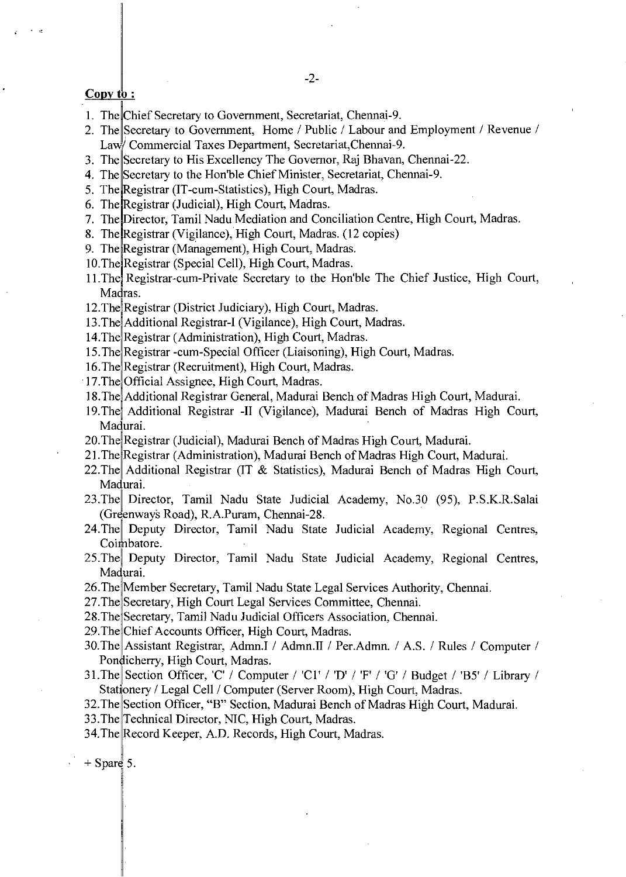#### $Copy to:$

- 1. The Chief Secretary to Government, Secretariat, Chennai-9.
- 2. The Secretary to Government, Home / Public / Labour and Employment / Revenue / Law Commercial Taxes Department, Secretariat, Chennai-9.
- 3. The Secretary to His Excellency The Governor, Raj Bhavan, Chennai-22.
- 4. The Secretary to the Hon'ble Chief Minister, Secretariat, Chennai-9.
- 5. The Registrar (IT-cum-Statistics), High Court, Madras.
- 6. The Registrar (Judicial), High Court, Madras.
- 7. The Director, Tamil Nadu Mediation and Conciliation Centre, High Court, Madras.
- 8. The Registrar (Vigilance), High Court, Madras. (12 copies)
- 9. The Registrar (Management), High Court, Madras.
- 10.The Registrar (Special Cell), High Court, Madras.
- 11. The Registrar-cum-Private Secretary to the Hon'ble The Chief Justice, High Court, Madras.
- 12. The Registrar (District Judiciary), High Court, Madras.
- 13. The Additional Registrar-I (Vigilance), High Court, Madras.
- 14 .The Registrar (Administration), High Court, Madras.
- 15 .The Registrar -cum-Special Officer (Liaisoning), High Court, Madras.
- 16. The Registrar (Recruitment), High Court, Madras.
- 17. The Official Assignee, High Court, Madras.
- 18.The Additional Registrar General, Madurai Bench of Madras High Court, Madurai.
- 19. The Additional Registrar -II (Vigilance), Madurai Bench of Madras High Court, Madurai.
- 20. The Registrar (Judicial), Madurai Bench of Madras High Court, Madurai.
- 21. The Registrar (Administration), Madurai Bench of Madras High Court, Madurai.
- 22.The Additional Registrar (IT & Statistics), Madurai Bench of Madras High Court, Madurai.
- 23.The Director, Tamil Nadu State Judicial Academy, No.30 (95), P.S.K.R.Salai (Greenways Road), R.A.Puram, Chennai-28.
- 24. The Deputy Director, Tamil Nadu State Judicial Academy, Regional Centres, Coimbatore.
- 25.The Deputy Director, Tamil Nadu State Judicial Academy, Regional Centres, Madurai.
- 26.The Member Secretary, Tamil Nadu State Legal Services Authority, Chennai.
- 27. The Secretary, High Court Legal Services Committee, Chennai.
- 28.The Secretary, Tamil Nadu Judicial Officers Association, Chennai.
- 29. The Chief Accounts Officer, High Court, Madras.
- 30.The Assistant Registrar, Admn.I / Admn.II / Per.Admn. / A.S. / Rules / Computer / Pondicherry, High Court, Madras.
- 31.The Section Officer, 'C' / Computer / 'C1' / 'D' / 'F' / 'G' / Budget / 'B5' / Library / Stationery / Legal Cell / Computer (Server Room), High Court, Madras.
- 32.The Section Officer, "B" Section, Madurai Bench of Madras High Court, Madurai.
- 33.The Technical Director, NIC, High Court, Madras.
- 34.The Record Keeper, A.D. Records, High Court, Madras.

 $+$  Spare 5.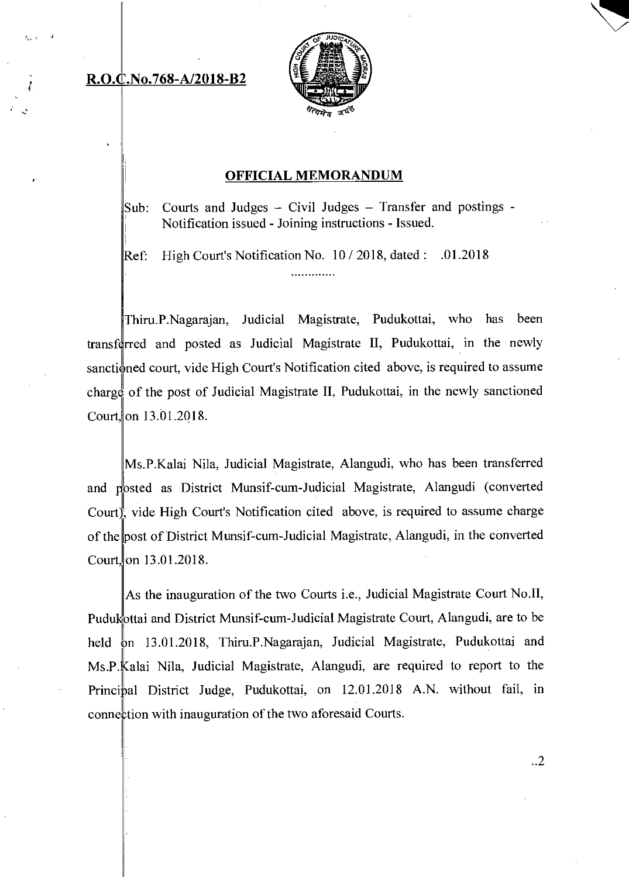# **R.0** No.768-A/2018-B2



## OFFICIAL MEMORANDUM

Sub: Courts and Judges  $-$  Civil Judges  $-$  Transfer and postings  $-$ Notification issued - Joining instructions - Issued.

Ref: High Court's Notification No. 10 / 2018, dated: .01.2018 . . . . . . . . . . . . .

Thiru.P.Nagarajan, Judicial Magistrate, Pudukottai, who has been transferred and posted as Judicial Magistrate II, Pudukottai, in the newly sanctioned court, vide High Court's Notification cited above, is required to assume chargç of the post of Judicial Magistrate II, Pudukottai, in the newly sanctioned Court, on 13.01.2018.

Ms.P.Kalai Nila, Judicial Magistrate, Alangudi, who has been transferred and posted as District Munsif-cum-Judicial Magistrate, Alangudi (converted Court), vide High Court's Notification cited above, is required to assume charge of the post of District Munsif-cum-Judicial Magistrate, Alangudi, in the converted Court, on  $13.01.2018$ .

As the inauguration of the two Courts i.e., Judicial Magistrate Court No.II, Pudukottai and District Munsif-cum-Judicial Magistrate Court, Alangudi, are to be held on 13.01.2018, Thiru.P.Nagarajan, Judicial Magistrate, Pudukottai and Ms.P. Kalai Nila, Judicial Magistrate, Alangudi, are required to report to the Principal District Judge, Pudukottai, on 12.01.2018 A.N. without fail, in connection with inauguration of the two aforesaid Courts.

..2